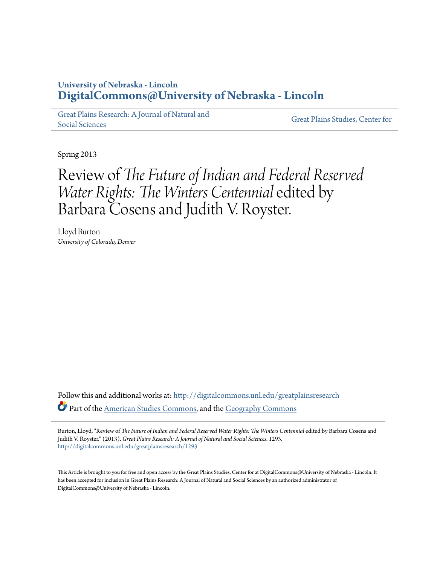## **University of Nebraska - Lincoln [DigitalCommons@University of Nebraska - Lincoln](http://digitalcommons.unl.edu?utm_source=digitalcommons.unl.edu%2Fgreatplainsresearch%2F1293&utm_medium=PDF&utm_campaign=PDFCoverPages)**

[Great Plains Research: A Journal of Natural and](http://digitalcommons.unl.edu/greatplainsresearch?utm_source=digitalcommons.unl.edu%2Fgreatplainsresearch%2F1293&utm_medium=PDF&utm_campaign=PDFCoverPages) [Social Sciences](http://digitalcommons.unl.edu/greatplainsresearch?utm_source=digitalcommons.unl.edu%2Fgreatplainsresearch%2F1293&utm_medium=PDF&utm_campaign=PDFCoverPages)

[Great Plains Studies, Center for](http://digitalcommons.unl.edu/greatplainsstudies?utm_source=digitalcommons.unl.edu%2Fgreatplainsresearch%2F1293&utm_medium=PDF&utm_campaign=PDFCoverPages)

Spring 2013

## Review of *The Future of Indian and Federal Reserved Water Rights: The Winters Centennial*edited by Barbara Cosens and Judith V. Royster.

Lloyd Burton *University of Colorado, Denver*

Follow this and additional works at: [http://digitalcommons.unl.edu/greatplainsresearch](http://digitalcommons.unl.edu/greatplainsresearch?utm_source=digitalcommons.unl.edu%2Fgreatplainsresearch%2F1293&utm_medium=PDF&utm_campaign=PDFCoverPages) Part of the [American Studies Commons](http://network.bepress.com/hgg/discipline/439?utm_source=digitalcommons.unl.edu%2Fgreatplainsresearch%2F1293&utm_medium=PDF&utm_campaign=PDFCoverPages), and the [Geography Commons](http://network.bepress.com/hgg/discipline/354?utm_source=digitalcommons.unl.edu%2Fgreatplainsresearch%2F1293&utm_medium=PDF&utm_campaign=PDFCoverPages)

Burton, Lloyd, "Review of *The Future of Indian and Federal Reserved Water Rights: The Winters Centennial* edited by Barbara Cosens and Judith V. Royster." (2013). *Great Plains Research: A Journal of Natural and Social Sciences*. 1293. [http://digitalcommons.unl.edu/greatplainsresearch/1293](http://digitalcommons.unl.edu/greatplainsresearch/1293?utm_source=digitalcommons.unl.edu%2Fgreatplainsresearch%2F1293&utm_medium=PDF&utm_campaign=PDFCoverPages)

This Article is brought to you for free and open access by the Great Plains Studies, Center for at DigitalCommons@University of Nebraska - Lincoln. It has been accepted for inclusion in Great Plains Research: A Journal of Natural and Social Sciences by an authorized administrator of DigitalCommons@University of Nebraska - Lincoln.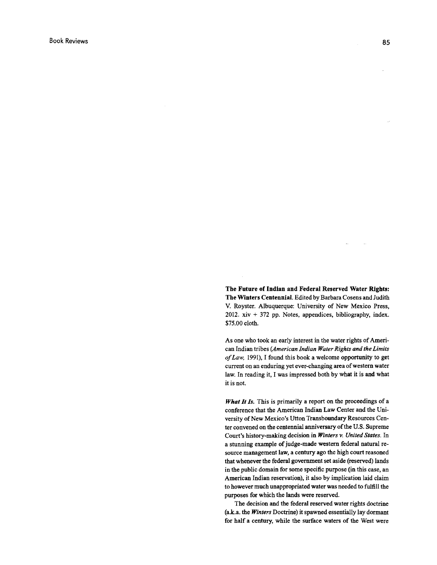The Future of Indian and Federal Reserved Water Rights: The Winters Centennial. Edited by Barbara Cosens and Judith V. Royster. Albuquerque: University of New Mexico Press, 2012. xiv + 372 pp. Notes, appendices, bibliography, index. \$75.00 cloth.

As one who took an early interest in the water rights of American Indian tribes *(American Indian Water Rights and the Limits of Law,* 1991), I found this book a welcome opportunity to get current on an enduring yet ever-changing area of western water law. In reading it, I was impressed both by what it is and what it is not.

What It Is. This is primarily a report on the proceedings of a conference that the American Indian Law Center and the University of New Mexico's Utton Transbonndary Resources Center convened on the centennial anniversary of the U.S. Supreme Court's history-making decision in *Winters v. United States.* In a stunning example of judge-made western federal natural resource management law, a century ago the high court reasoned that whenever the federal government set aside (reserved) lands in the public domain for some specific purpose (in this case, an American Indian reservation), it also by implication laid claim to however much unappropriated water was needed to fulfill the purposes for which the lands were reserved.

The decision and the federal reserved water rights doctrine (a.k.a. the *Winters* Doctrine) it spawned essentially lay dormant for half a century, while the surface waters of the West were